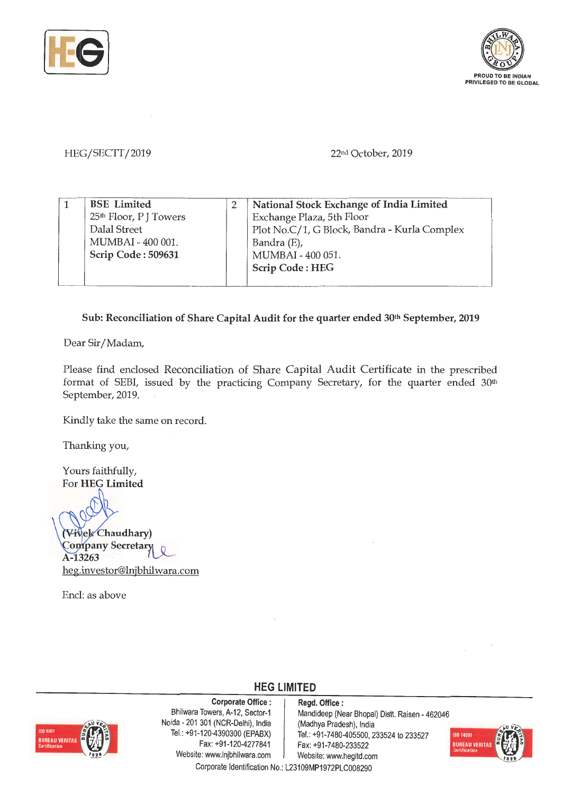



## HEG/SECTT/2019

22nd October, 2019

| <b>BSE</b> Limited                | National Stock Exchange of India Limited     |
|-----------------------------------|----------------------------------------------|
| 25 <sup>th</sup> Floor, PJ Towers | Exchange Plaza, 5th Floor                    |
| Dalal Street                      | Plot No.C/1, G Block, Bandra - Kurla Complex |
| MUMBAI - 400 001.                 | Bandra (E),                                  |
| Scrip Code: 509631                | MUMBAI - 400 051.                            |
|                                   | Scrip Code: HEG                              |
|                                   |                                              |

## Sub: Reconciliation of Share Capital Audit for the quarter ended 30<sup>th</sup> September, 2019

Dear Sir/ Madam,

Please find enclosed Reconciliation of Share Capital Audit Certificate in the prescribed format of SEBI, issued by the practicing Company Secretary, for the quarter ended 30<sup>th</sup> September, 2019.

Kindly take the same on record.

Thanking you,

Yours faithfully, For **HEG Limited** 

**(Vivels Chaudhary)** Company Secretary A-13263 heg.investor@lnjbhilwara.com

Encl: as above



**Corporate Office** : **Regd. Office** : Noida - 201 301 (NCR-Delhi), India | (Madhya Pradesh), India Fax: +91-120-4277841 Fax: +91-7480-233522 Website: www.lnjbhilwara.com | Website: www.hegltd.com

Bhilwara Towers, A-12, Sector-1 | Mandideep (Near Bhopal) Distt. Raisen - 462046 Tel.: +91-120-4390300 (EPABX) Tel.: +91 -7480-405500, 233524 to 233527



Corporate Identification No.: L23109MP1972PLC008290

**HEG LIMITED**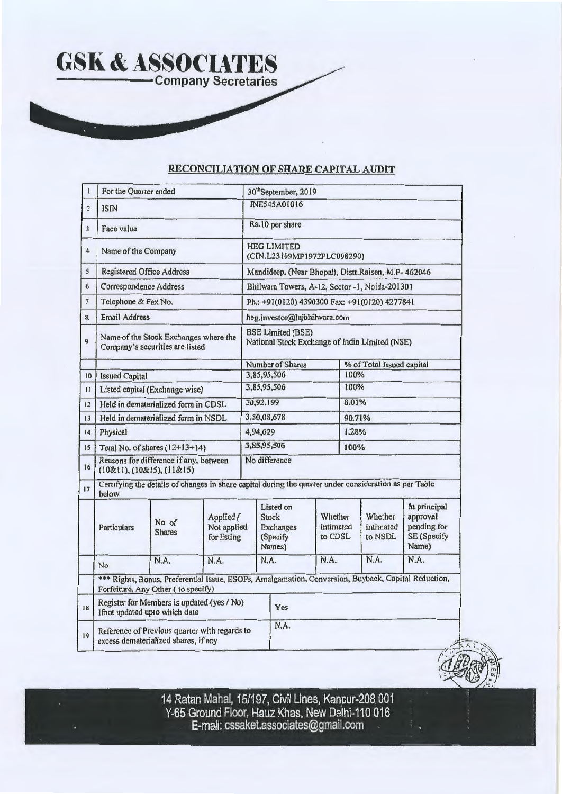## **RECONCILIATION OF SHARE CAPITAL AUDIT**

| 1.                      | For the Quarter ended                                                                                                                      |                                                                             |                                         |                                                                            | 30 <sup>th</sup> September, 2019                             |                                 |        |                                 |                                                                 |  |  |
|-------------------------|--------------------------------------------------------------------------------------------------------------------------------------------|-----------------------------------------------------------------------------|-----------------------------------------|----------------------------------------------------------------------------|--------------------------------------------------------------|---------------------------------|--------|---------------------------------|-----------------------------------------------------------------|--|--|
| $\overline{2}$          | <b>ISIN</b>                                                                                                                                |                                                                             |                                         |                                                                            | <b>INE545A01016</b>                                          |                                 |        |                                 |                                                                 |  |  |
| $\overline{\mathbf{3}}$ | Face value                                                                                                                                 |                                                                             |                                         |                                                                            | Rs.10 per share                                              |                                 |        |                                 |                                                                 |  |  |
| $\overline{4}$          | Name of the Company                                                                                                                        |                                                                             |                                         | <b>HEG LIMITED</b><br>(CIN.L23109MP1972PLC008290)                          |                                                              |                                 |        |                                 |                                                                 |  |  |
| $\mathsf{s}$            | <b>Registered Office Address</b>                                                                                                           |                                                                             |                                         | Mandideep. (Near Bhopal), Distt.Raisen, M.P- 462046                        |                                                              |                                 |        |                                 |                                                                 |  |  |
| 6                       | <b>Correspondence Address</b>                                                                                                              |                                                                             |                                         | Bhilwara Towers, A-12, Sector -1, Noida-201301                             |                                                              |                                 |        |                                 |                                                                 |  |  |
| 7                       | Telephone & Fax No.                                                                                                                        |                                                                             |                                         | Ph.: +91(0120) 4390300 Fax: +91(0120) 4277841                              |                                                              |                                 |        |                                 |                                                                 |  |  |
| 8                       | <b>Email Address</b>                                                                                                                       |                                                                             |                                         |                                                                            | heg.investor@lnjbhilwara.com                                 |                                 |        |                                 |                                                                 |  |  |
| q.                      | Name of the Stock Exchanges where the<br>Company's securities are listed                                                                   |                                                                             |                                         | <b>BSE Limited (BSE)</b><br>National Stock Exchange of India Limited (NSE) |                                                              |                                 |        |                                 |                                                                 |  |  |
|                         |                                                                                                                                            |                                                                             |                                         |                                                                            | Number of Shares                                             |                                 |        | % of Total Issued capital       |                                                                 |  |  |
| 10                      | <b>Issued Capital</b>                                                                                                                      |                                                                             |                                         |                                                                            | 3,85,95,506                                                  |                                 | 100%   |                                 |                                                                 |  |  |
| $\overline{11}$         |                                                                                                                                            | Listed capital (Exchange wise)                                              |                                         |                                                                            | 3,85,95,506                                                  |                                 | 100%   |                                 |                                                                 |  |  |
| 12                      |                                                                                                                                            | Held in dematerialized form in CDSL                                         |                                         |                                                                            | 30,92,199                                                    |                                 | 8.01%  |                                 |                                                                 |  |  |
| 13                      |                                                                                                                                            | Held in dematerialized form in NSDL                                         |                                         |                                                                            | 3,50,08,678                                                  |                                 | 90.71% |                                 |                                                                 |  |  |
| $^{14}$                 | Physical                                                                                                                                   |                                                                             |                                         |                                                                            | 4,94,629                                                     |                                 | 1.28%  |                                 |                                                                 |  |  |
| 15                      |                                                                                                                                            | Total No. of shares $(12+13+14)$                                            |                                         |                                                                            | 3,85,95,506                                                  |                                 | 100%   |                                 |                                                                 |  |  |
| 16                      | Reasons for difference if any, between<br>(10&11), (10&15), (11&15)                                                                        |                                                                             |                                         | No difference                                                              |                                                              |                                 |        |                                 |                                                                 |  |  |
| 17                      | Certifying the details of changes in share capital during the quarter under consideration as per Table<br>below                            |                                                                             |                                         |                                                                            |                                                              |                                 |        |                                 |                                                                 |  |  |
|                         | Particulars                                                                                                                                | No of<br><b>Shares</b>                                                      | Applied /<br>Not applied<br>for listing |                                                                            | Listed on<br><b>Stock</b><br>Exchanges<br>(Specify<br>Names) | Whether<br>intimated<br>to CDSL |        | Whether<br>intimated<br>to NSDL | In principal<br>approval<br>pending for<br>SE (Specify<br>Name) |  |  |
|                         | <b>No</b>                                                                                                                                  | N.A.                                                                        | N.A.                                    |                                                                            | N.A.                                                         | N.A.                            |        | N.A.                            | N.A.                                                            |  |  |
|                         | *** Rights, Bonus, Preferential Issue, ESOPs, Amalgamation, Conversion, Buyback, Capital Reduction,<br>Forfeiture, Any Other ( to specify) |                                                                             |                                         |                                                                            |                                                              |                                 |        |                                 |                                                                 |  |  |
| 18                      |                                                                                                                                            | Register for Members is updated (yes / No)<br>Ifnot updated upto which date |                                         |                                                                            | Yes                                                          |                                 |        |                                 |                                                                 |  |  |
| 19                      | Reference of Previous quarter with regards to<br>excess dematerialized shares, if any                                                      |                                                                             |                                         | N.A.                                                                       |                                                              |                                 |        |                                 |                                                                 |  |  |

14 Ratan Mahal, 15/197, Civil Lines, Kanpur-208 001 Y-65 Ground Floor, Hauz Khas, New Delhi-110 016 E-mail: cssaket.associates@gmail.com .